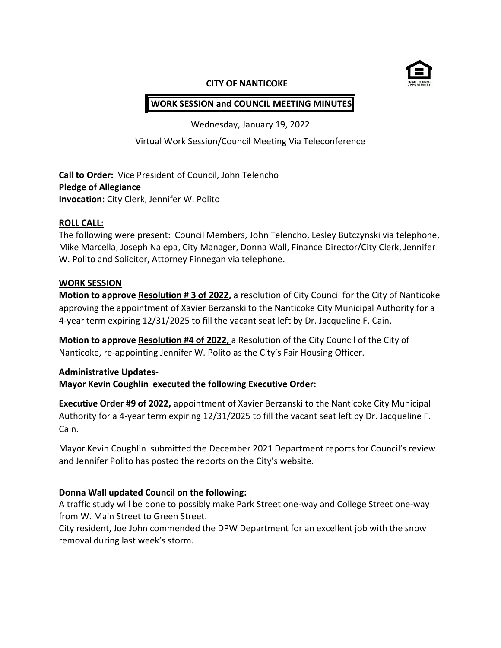

#### **CITY OF NANTICOKE**

# **WORK SESSION and COUNCIL MEETING MINUTES**

Wednesday, January 19, 2022

Virtual Work Session/Council Meeting Via Teleconference

**Call to Order:** Vice President of Council, John Telencho **Pledge of Allegiance Invocation:** City Clerk, Jennifer W. Polito

### **ROLL CALL:**

The following were present: Council Members, John Telencho, Lesley Butczynski via telephone, Mike Marcella, Joseph Nalepa, City Manager, Donna Wall, Finance Director/City Clerk, Jennifer W. Polito and Solicitor, Attorney Finnegan via telephone.

## **WORK SESSION**

**Motion to approve Resolution # 3 of 2022,** a resolution of City Council for the City of Nanticoke approving the appointment of Xavier Berzanski to the Nanticoke City Municipal Authority for a 4-year term expiring 12/31/2025 to fill the vacant seat left by Dr. Jacqueline F. Cain.

**Motion to approve Resolution #4 of 2022,** a Resolution of the City Council of the City of Nanticoke, re-appointing Jennifer W. Polito as the City's Fair Housing Officer.

### **Administrative Updates-**

**Mayor Kevin Coughlin executed the following Executive Order:**

**Executive Order #9 of 2022,** appointment of Xavier Berzanski to the Nanticoke City Municipal Authority for a 4-year term expiring 12/31/2025 to fill the vacant seat left by Dr. Jacqueline F. Cain.

Mayor Kevin Coughlin submitted the December 2021 Department reports for Council's review and Jennifer Polito has posted the reports on the City's website.

## **Donna Wall updated Council on the following:**

A traffic study will be done to possibly make Park Street one-way and College Street one-way from W. Main Street to Green Street.

City resident, Joe John commended the DPW Department for an excellent job with the snow removal during last week's storm.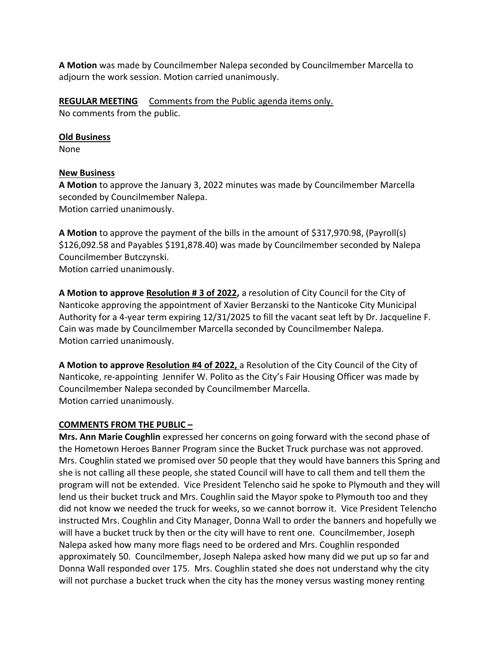**A Motion** was made by Councilmember Nalepa seconded by Councilmember Marcella to adjourn the work session. Motion carried unanimously.

**REGULAR MEETING** Comments from the Public agenda items only. No comments from the public.

## **Old Business**

None

## **New Business**

**A Motion** to approve the January 3, 2022 minutes was made by Councilmember Marcella seconded by Councilmember Nalepa. Motion carried unanimously.

**A Motion** to approve the payment of the bills in the amount of \$317,970.98, (Payroll(s) \$126,092.58 and Payables \$191,878.40) was made by Councilmember seconded by Nalepa Councilmember Butczynski.

Motion carried unanimously.

**A Motion to approve Resolution # 3 of 2022,** a resolution of City Council for the City of Nanticoke approving the appointment of Xavier Berzanski to the Nanticoke City Municipal Authority for a 4-year term expiring 12/31/2025 to fill the vacant seat left by Dr. Jacqueline F. Cain was made by Councilmember Marcella seconded by Councilmember Nalepa. Motion carried unanimously.

**A Motion to approve Resolution #4 of 2022,** a Resolution of the City Council of the City of Nanticoke, re-appointing Jennifer W. Polito as the City's Fair Housing Officer was made by Councilmember Nalepa seconded by Councilmember Marcella. Motion carried unanimously.

## **COMMENTS FROM THE PUBLIC –**

**Mrs. Ann Marie Coughlin** expressed her concerns on going forward with the second phase of the Hometown Heroes Banner Program since the Bucket Truck purchase was not approved. Mrs. Coughlin stated we promised over 50 people that they would have banners this Spring and she is not calling all these people, she stated Council will have to call them and tell them the program will not be extended. Vice President Telencho said he spoke to Plymouth and they will lend us their bucket truck and Mrs. Coughlin said the Mayor spoke to Plymouth too and they did not know we needed the truck for weeks, so we cannot borrow it. Vice President Telencho instructed Mrs. Coughlin and City Manager, Donna Wall to order the banners and hopefully we will have a bucket truck by then or the city will have to rent one. Councilmember, Joseph Nalepa asked how many more flags need to be ordered and Mrs. Coughlin responded approximately 50. Councilmember, Joseph Nalepa asked how many did we put up so far and Donna Wall responded over 175. Mrs. Coughlin stated she does not understand why the city will not purchase a bucket truck when the city has the money versus wasting money renting